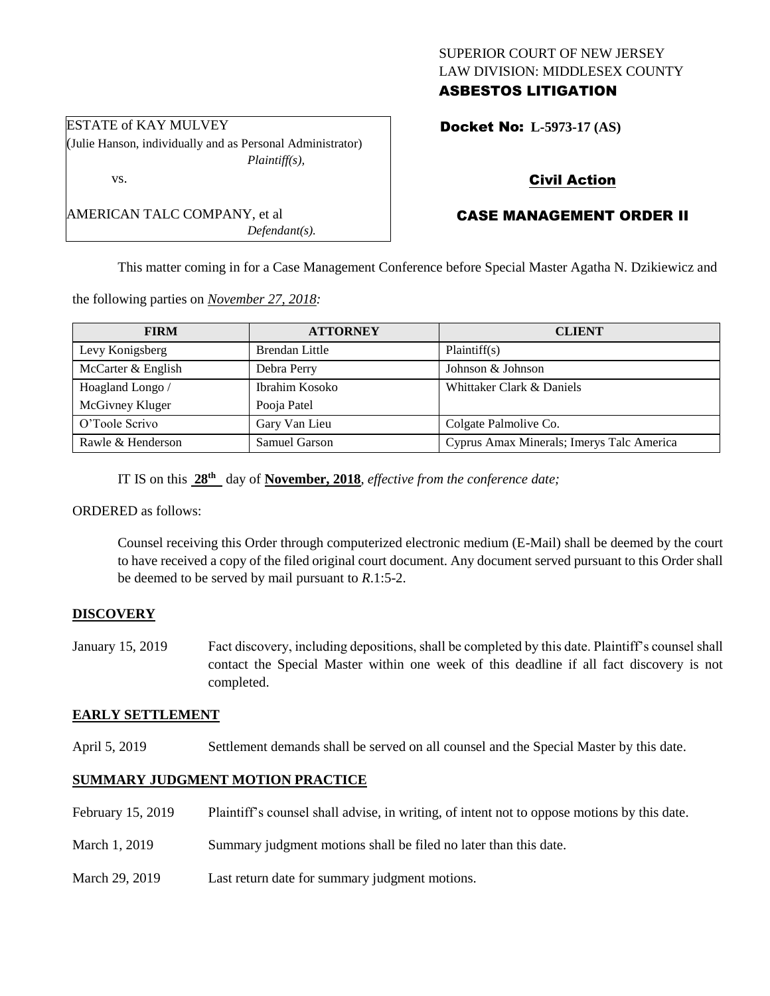# SUPERIOR COURT OF NEW JERSEY LAW DIVISION: MIDDLESEX COUNTY ASBESTOS LITIGATION

Docket No: **L-5973-17 (AS)** 

# Civil Action

# CASE MANAGEMENT ORDER II

This matter coming in for a Case Management Conference before Special Master Agatha N. Dzikiewicz and

the following parties on *November 27, 2018:*

| <b>FIRM</b>        | <b>ATTORNEY</b>       | <b>CLIENT</b>                             |
|--------------------|-----------------------|-------------------------------------------|
| Levy Konigsberg    | <b>Brendan Little</b> | Plaintiff(s)                              |
| McCarter & English | Debra Perry           | Johnson & Johnson                         |
| Hoagland Longo /   | Ibrahim Kosoko        | Whittaker Clark & Daniels                 |
| McGivney Kluger    | Pooja Patel           |                                           |
| O'Toole Scrivo     | Gary Van Lieu         | Colgate Palmolive Co.                     |
| Rawle & Henderson  | Samuel Garson         | Cyprus Amax Minerals; Imerys Talc America |

IT IS on this **28th** day of **November, 2018**, *effective from the conference date;*

ORDERED as follows:

Counsel receiving this Order through computerized electronic medium (E-Mail) shall be deemed by the court to have received a copy of the filed original court document. Any document served pursuant to this Order shall be deemed to be served by mail pursuant to *R*.1:5-2.

## **DISCOVERY**

January 15, 2019 Fact discovery, including depositions, shall be completed by this date. Plaintiff's counsel shall contact the Special Master within one week of this deadline if all fact discovery is not completed.

## **EARLY SETTLEMENT**

April 5, 2019 Settlement demands shall be served on all counsel and the Special Master by this date.

### **SUMMARY JUDGMENT MOTION PRACTICE**

- February 15, 2019 Plaintiff's counsel shall advise, in writing, of intent not to oppose motions by this date.
- March 1, 2019 Summary judgment motions shall be filed no later than this date.
- March 29, 2019 Last return date for summary judgment motions.

ESTATE of KAY MULVEY (Julie Hanson, individually and as Personal Administrator) *Plaintiff(s),*

vs.

AMERICAN TALC COMPANY, et al *Defendant(s).*